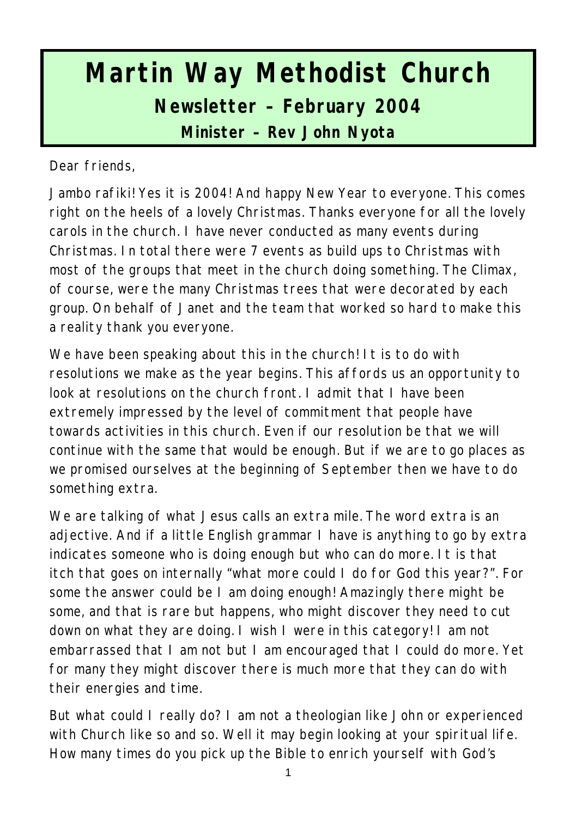# **Martin Way Methodist Church Newsletter – February 2004**

**Minister – Rev John Nyota**

Dear friends,

Jambo rafiki! Yes it is 2004! And happy New Year to everyone. This comes right on the heels of a lovely Christmas. Thanks everyone for all the lovely carols in the church. I have never conducted as many events during Christmas. In total there were 7 events as build ups to Christmas with most of the groups that meet in the church doing something. The Climax, of course, were the many Christmas trees that were decorated by each group. On behalf of Janet and the team that worked so hard to make this a reality thank you everyone.

We have been speaking about this in the church! It is to do with resolutions we make as the year begins. This affords us an opportunity to look at resolutions on the church front. I admit that I have been extremely impressed by the level of commitment that people have towards activities in this church. Even if our resolution be that we will continue with the same that would be enough. But if we are to go places as we promised ourselves at the beginning of September then we have to do something extra.

We are talking of what Jesus calls an extra mile. The word extra is an adjective. And if a little English grammar I have is anything to go by extra indicates someone who is doing enough but who can do more. It is that itch that goes on internally "what more could I do for God this year?". For some the answer could be I am doing enough! Amazingly there might be some, and that is rare but happens, who might discover they need to cut down on what they are doing. I wish I were in this category! I am not embarrassed that I am not but I am encouraged that I could do more. Yet for many they might discover there is much more that they can do with their energies and time.

But what could I really do? I am not a theologian like John or experienced with Church like so and so. Well it may begin looking at your spiritual life. How many times do you pick up the Bible to enrich yourself with God's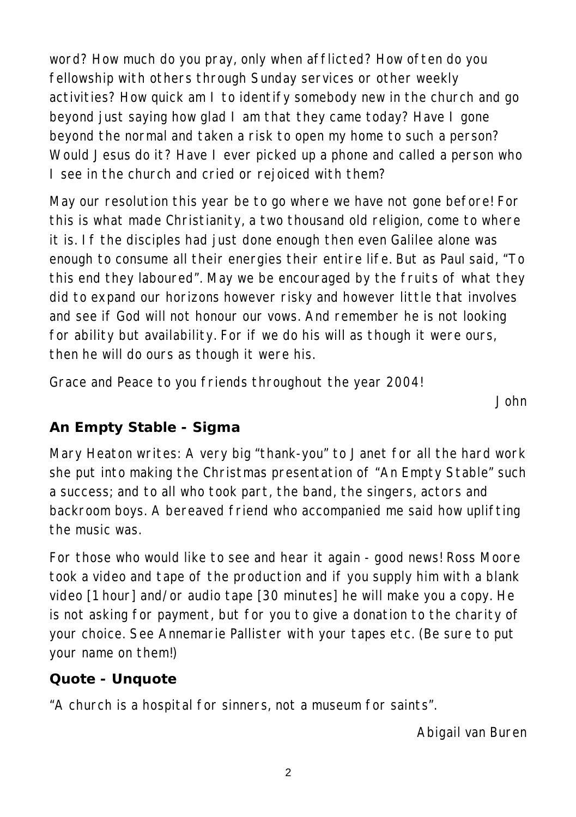word? How much do you pray, only when afflicted? How often do you fellowship with others through Sunday services or other weekly activities? How quick am I to identify somebody new in the church and go beyond just saying how glad I am that they came today? Have I gone beyond the normal and taken a risk to open my home to such a person? Would Jesus do it? Have I ever picked up a phone and called a person who I see in the church and cried or rejoiced with them?

May our resolution this year be to go where we have not gone before! For this is what made Christianity, a two thousand old religion, come to where it is. If the disciples had just done enough then even Galilee alone was enough to consume all their energies their entire life. But as Paul said, "To this end they laboured". May we be encouraged by the fruits of what they did to expand our horizons however risky and however little that involves and see if God will not honour our vows. And remember he is not looking for ability but availability. For if we do his will as though it were ours, then he will do ours as though it were his.

Grace and Peace to you friends throughout the year 2004!

*John*

### **An Empty Stable - Sigma**

Mary Heaton writes: A very big "thank-you" to Janet for all the hard work she put into making the Christmas presentation of "An Empty Stable" such a success; and to all who took part, the band, the singers, actors and backroom boys. A bereaved friend who accompanied me said how uplifting the music was.

For those who would like to see and hear it again - good news! Ross Moore took a video and tape of the production and if you supply him with a blank video [1 hour] and/or audio tape [30 minutes] he will make you a copy. He is not asking for payment, but for you to give a donation to the charity of your choice. See Annemarie Pallister with your tapes etc. (Be sure to put your name on them!)

### **Quote - Unquote**

"A church is a hospital for sinners, not a museum for saints".

*Abigail van Buren*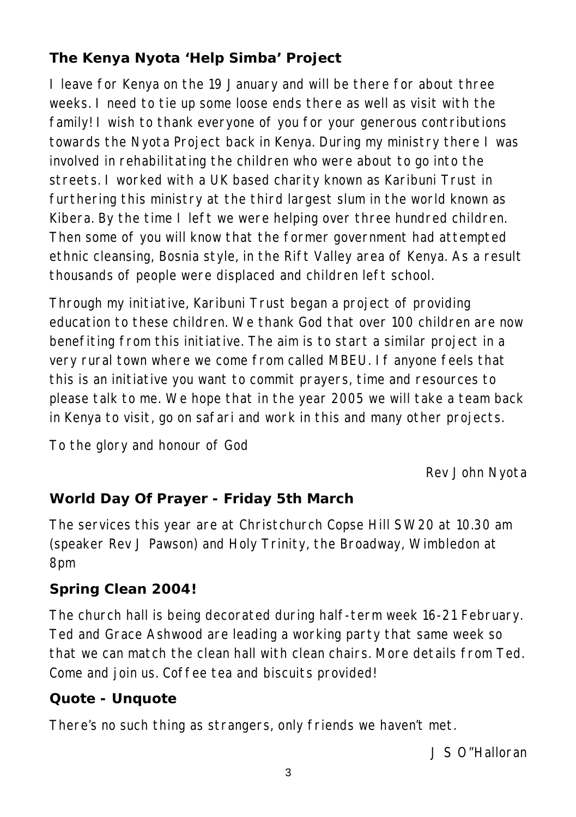# **The Kenya Nyota 'Help Simba' Project**

I leave for Kenya on the 19 January and will be there for about three weeks. I need to tie up some loose ends there as well as visit with the family! I wish to thank everyone of you for your generous contributions towards the Nyota Project back in Kenya. During my ministry there I was involved in rehabilitating the children who were about to go into the streets. I worked with a UK based charity known as Karibuni Trust in furthering this ministry at the third largest slum in the world known as Kibera. By the time I left we were helping over three hundred children. Then some of you will know that the former government had attempted ethnic cleansing, Bosnia style, in the Rift Valley area of Kenya. As a result thousands of people were displaced and children left school.

Through my initiative, Karibuni Trust began a project of providing education to these children. We thank God that over 100 children are now benefiting from this initiative. The aim is to start a similar project in a very rural town where we come from called MBEU. If anyone feels that this is an initiative you want to commit prayers, time and resources to please talk to me. We hope that in the year 2005 we will take a team back in Kenya to visit, go on safari and work in this and many other projects.

To the glory and honour of God

*Rev John Nyota*

### **World Day Of Prayer - Friday 5th March**

The services this year are at Christchurch Copse Hill SW20 at 10.30 am (speaker Rev J Pawson) and Holy Trinity, the Broadway, Wimbledon at 8pm

#### **Spring Clean 2004!**

The church hall is being decorated during half-term week 16-21 February. Ted and Grace Ashwood are leading a working party that same week so that we can match the clean hall with clean chairs. More details from Ted. Come and join us. Coffee tea and biscuits provided!

#### **Quote - Unquote**

There's no such thing as strangers, only friends we haven't met.

*J S O"Halloran*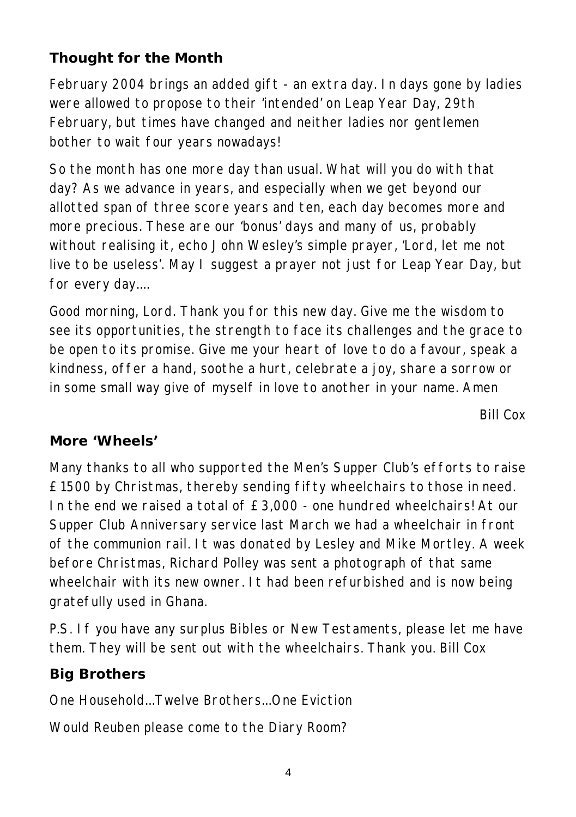## **Thought for the Month**

February 2004 brings an added gift - an extra day. In days gone by ladies were allowed to propose to their 'intended' on Leap Year Day, 29th February, but times have changed and neither ladies nor gentlemen bother to wait four years nowadays!

So the month has one more day than usual. What will you do with that day? As we advance in years, and especially when we get beyond our allotted span of three score years and ten, each day becomes more and more precious. These are our 'bonus' days and many of us, probably without realising it, echo John Wesley's simple prayer, 'Lord, let me not live to be useless'. May I suggest a prayer not just for Leap Year Day, but for every day....

Good morning, Lord. Thank you for this new day. Give me the wisdom to see its opportunities, the strength to face its challenges and the grace to be open to its promise. Give me your heart of love to do a favour, speak a kindness, offer a hand, soothe a hurt, celebrate a joy, share a sorrow or in some small way give of myself in love to another in your name. Amen

*Bill Cox*

#### **More 'Wheels'**

Many thanks to all who supported the Men's Supper Club's efforts to raise £1500 by Christmas, thereby sending fifty wheelchairs to those in need. In the end we raised a total of £3,000 - one hundred wheelchairs! At our Supper Club Anniversary service last March we had a wheelchair in front of the communion rail. It was donated by Lesley and Mike Mortley. A week before Christmas, Richard Polley was sent a photograph of that same wheelchair with its new owner. It had been refurbished and is now being gratefully used in Ghana.

P.S. If you have any surplus Bibles or New Testaments, please let me have them. They will be sent out with the wheelchairs. Thank you. Bill Cox

### **Big Brothers**

One Household...Twelve Brothers...One Eviction

Would Reuben please come to the Diary Room?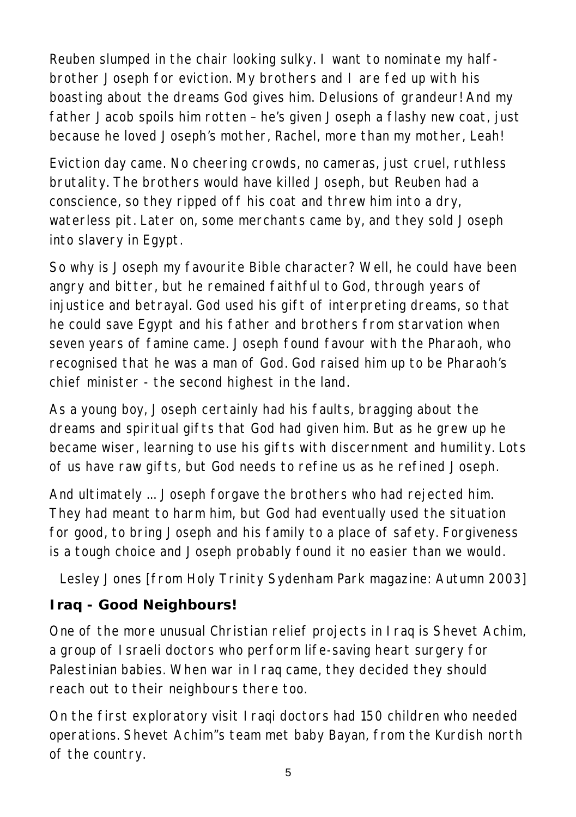Reuben slumped in the chair looking sulky. I want to nominate my halfbrother Joseph for eviction. My brothers and I are fed up with his boasting about the dreams God gives him. Delusions of grandeur! And my father Jacob spoils him rotten – he's given Joseph a flashy new coat, just because he loved Joseph's mother, Rachel, more than my mother, Leah!

Eviction day came. No cheering crowds, no cameras, just cruel, ruthless brutality. The brothers would have killed Joseph, but Reuben had a conscience, so they ripped off his coat and threw him into a dry, waterless pit. Later on, some merchants came by, and they sold Joseph into slavery in Egypt.

So why is Joseph my favourite Bible character? Well, he could have been angry and bitter, but he remained faithful to God, through years of injustice and betrayal. God used his gift of interpreting dreams, so that he could save Egypt and his father and brothers from starvation when seven years of famine came. Joseph found favour with the Pharaoh, who recognised that he was a man of God. God raised him up to be Pharaoh's chief minister - the second highest in the land.

As a young boy, Joseph certainly had his faults, bragging about the dreams and spiritual gifts that God had given him. But as he grew up he became wiser, learning to use his gifts with discernment and humility. Lots of us have raw gifts, but God needs to refine us as he refined Joseph.

And ultimately ... Joseph forgave the brothers who had rejected him. They had meant to harm him, but God had eventually used the situation for good, to bring Joseph and his family to a place of safety. Forgiveness is a tough choice and Joseph probably found it no easier than we would.

*Lesley Jones [from Holy Trinity Sydenham Park magazine: Autumn 2003]*

# **Iraq - Good Neighbours!**

One of the more unusual Christian relief projects in Iraq is Shevet Achim, a group of Israeli doctors who perform life-saving heart surgery for Palestinian babies. When war in Iraq came, they decided they should reach out to their neighbours there too.

On the first exploratory visit Iraqi doctors had 150 children who needed operations. Shevet Achim"s team met baby Bayan, from the Kurdish north of the country.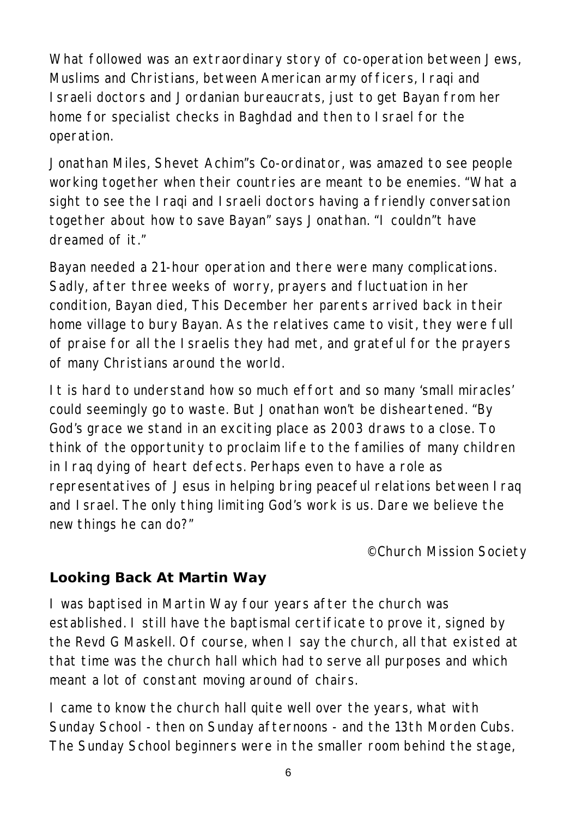What followed was an extraordinary story of co-operation between Jews, Muslims and Christians, between American army officers, Iraqi and Israeli doctors and Jordanian bureaucrats, just to get Bayan from her home for specialist checks in Baghdad and then to Israel for the operation.

Jonathan Miles, Shevet Achim"s Co-ordinator, was amazed to see people working together when their countries are meant to be enemies. "What a sight to see the Iraqi and Israeli doctors having a friendly conversation together about how to save Bayan" says Jonathan. "I couldn"t have dreamed of it."

Bayan needed a 21-hour operation and there were many complications. Sadly, after three weeks of worry, prayers and fluctuation in her condition, Bayan died, This December her parents arrived back in their home village to bury Bayan. As the relatives came to visit, they were full of praise for all the Israelis they had met, and grateful for the prayers of many Christians around the world.

It is hard to understand how so much effort and so many 'small miracles' could seemingly go to waste. But Jonathan won't be disheartened. "By God's grace we stand in an exciting place as 2003 draws to a close. To think of the opportunity to proclaim life to the families of many children in Iraq dying of heart defects. Perhaps even to have a role as representatives of Jesus in helping bring peaceful relations between Iraq and Israel. The only thing limiting God's work is us. Dare we believe the new things he can do?"

*©Church Mission Society*

### **Looking Back At Martin Way**

I was baptised in Martin Way four years after the church was established. I still have the baptismal certificate to prove it, signed by the Revd G Maskell. Of course, when I say the church, all that existed at that time was the church hall which had to serve all purposes and which meant a lot of constant moving around of chairs.

I came to know the church hall quite well over the years, what with Sunday School - then on Sunday afternoons - and the 13th Morden Cubs. The Sunday School beginners were in the smaller room behind the stage,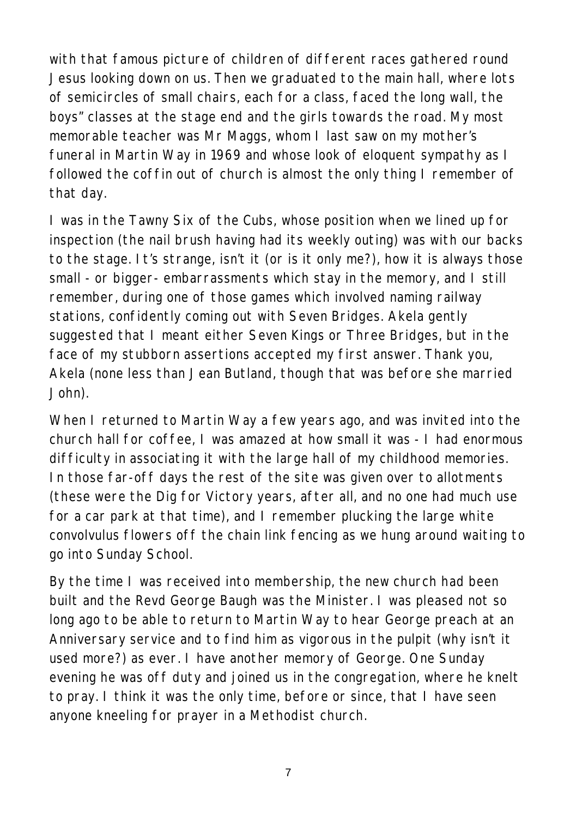with that famous picture of children of different races gathered round Jesus looking down on us. Then we graduated to the main hall, where lots of semicircles of small chairs, each for a class, faced the long wall, the boys" classes at the stage end and the girls towards the road. My most memorable teacher was Mr Maggs, whom I last saw on my mother's funeral in Martin Way in 1969 and whose look of eloquent sympathy as I followed the coffin out of church is almost the only thing I remember of that day.

I was in the Tawny Six of the Cubs, whose position when we lined up for inspection (the nail brush having had its weekly outing) was with our backs to the stage. It's strange, isn't it (or is it only me?), how it is always those small - or bigger- embarrassments which stay in the memory, and I still remember, during one of those games which involved naming railway stations, confidently coming out with Seven Bridges. Akela gently suggested that I meant either Seven Kings or Three Bridges, but in the face of my stubborn assertions accepted my first answer. Thank you, Akela (none less than Jean Butland, though that was before she married John).

When I returned to Martin Way a few years ago, and was invited into the church hall for coffee, I was amazed at how small it was - I had enormous difficulty in associating it with the large hall of my childhood memories. In those far-off days the rest of the site was given over to allotments (these were the Dig for Victory years, after all, and no one had much use for a car park at that time), and I remember plucking the large white convolvulus flowers off the chain link fencing as we hung around waiting to go into Sunday School.

By the time I was received into membership, the new church had been built and the Revd George Baugh was the Minister. I was pleased not so long ago to be able to return to Martin Way to hear George preach at an Anniversary service and to find him as vigorous in the pulpit (why isn't it used more?) as ever. I have another memory of George. One Sunday evening he was off duty and joined us in the congregation, where he knelt to pray. I think it was the only time, before or since, that I have seen anyone kneeling for prayer in a Methodist church.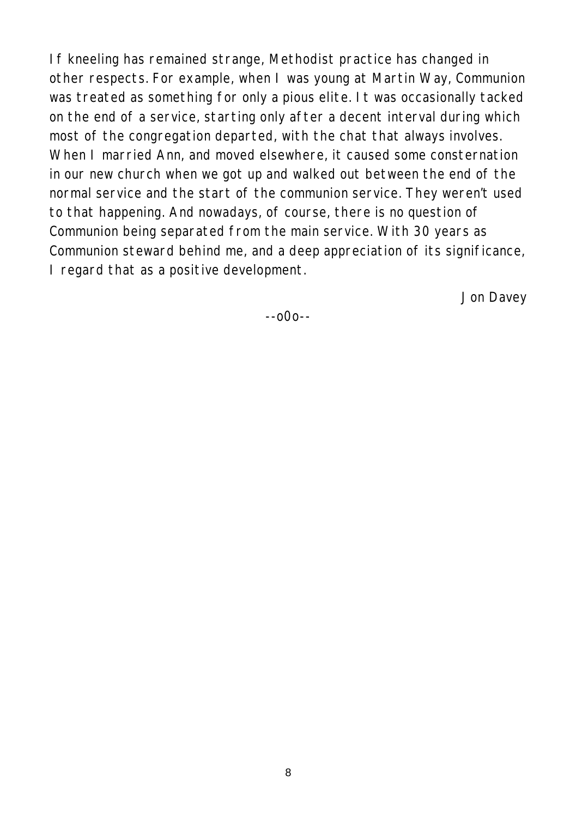If kneeling has remained strange, Methodist practice has changed in other respects. For example, when I was young at Martin Way, Communion was treated as something for only a pious elite. It was occasionally tacked on the end of a service, starting only after a decent interval during which most of the congregation departed, with the chat that always involves. When I married Ann, and moved elsewhere, it caused some consternation in our new church when we got up and walked out between the end of the normal service and the start of the communion service. They weren't used to that happening. And nowadays, of course, there is no question of Communion being separated from the main service. With 30 years as Communion steward behind me, and a deep appreciation of its significance, I regard that as a positive development.

*Jon Davey*

--o0o--